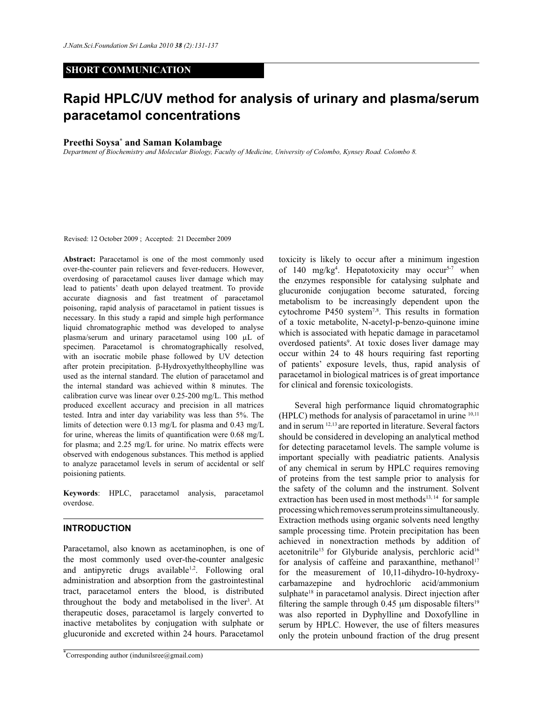# **SHORT COMMUNICATION**

# **Rapid HPLC/UV method for analysis of urinary and plasma/serum paracetamol concentrations**

# **Preethi Soysa\* and Saman Kolambage**

*Department of Biochemistry and Molecular Biology, Faculty of Medicine, University of Colombo, Kynsey Road. Colombo 8.*

Revised: 12 October 2009 ; Accepted: 21 December 2009

**Abstract:** Paracetamol is one of the most commonly used over-the-counter pain relievers and fever-reducers. However, overdosing of paracetamol causes liver damage which may lead to patients' death upon delayed treatment. To provide accurate diagnosis and fast treatment of paracetamol poisoning, rapid analysis of paracetamol in patient tissues is necessary. In this study a rapid and simple high performance liquid chromatographic method was developed to analyse plasma/serum and urinary paracetamol using 100 µL of specimen. Paracetamol is chromatographically resolved, with an isocratic mobile phase followed by UV detection after protein precipitation. β-Hydroxyethyltheophylline was used as the internal standard. The elution of paracetamol and the internal standard was achieved within 8 minutes. The calibration curve was linear over 0.25-200 mg/L. This method produced excellent accuracy and precision in all matrices tested. Intra and inter day variability was less than 5%. The limits of detection were 0.13 mg/L for plasma and 0.43 mg/L for urine, whereas the limits of quantification were 0.68 mg/L for plasma; and 2.25 mg/L for urine. No matrix effects were observed with endogenous substances. This method is applied to analyze paracetamol levels in serum of accidental or self poisioning patients.

**Keywords**: HPLC, paracetamol analysis, paracetamol overdose.

# **INTRODUCTION**

Paracetamol, also known as acetaminophen, is one of the most commonly used over-the-counter analgesic and antipyretic drugs available<sup>1,2</sup>. Following oral administration and absorption from the gastrointestinal tract, paracetamol enters the blood, is distributed throughout the body and metabolised in the liver<sup>3</sup>. At therapeutic doses, paracetamol is largely converted to inactive metabolites by conjugation with sulphate or glucuronide and excreted within 24 hours. Paracetamol

toxicity is likely to occur after a minimum ingestion of 140 mg/kg<sup>4</sup>. Hepatotoxicity may occur<sup>5-7</sup> when the enzymes responsible for catalysing sulphate and glucuronide conjugation become saturated, forcing metabolism to be increasingly dependent upon the cytochrome P450 system<sup>7,8</sup>. This results in formation of a toxic metabolite, N-acetyl-p-benzo-quinone imine which is associated with hepatic damage in paracetamol overdosed patients<sup>9</sup>. At toxic doses liver damage may occur within 24 to 48 hours requiring fast reporting of patients' exposure levels, thus, rapid analysis of paracetamol in biological matrices is of great importance for clinical and forensic toxicologists.

 Several high performance liquid chromatographic (HPLC) methods for analysis of paracetamol in urine 10,11 and in serum 12,13 are reported in literature. Several factors should be considered in developing an analytical method for detecting paracetamol levels. The sample volume is important specially with peadiatric patients. Analysis of any chemical in serum by HPLC requires removing of proteins from the test sample prior to analysis for the safety of the column and the instrument. Solvent extraction has been used in most methods $13, 14$  for sample processing which removes serum proteins simultaneously. Extraction methods using organic solvents need lengthy sample processing time. Protein precipitation has been achieved in nonextraction methods by addition of acetonitrile<sup>15</sup> for Glyburide analysis, perchloric acid<sup>16</sup> for analysis of caffeine and paraxanthine, methanol<sup>17</sup> for the measurement of 10,11-dihydro-10-hydroxycarbamazepine and hydrochloric acid/ammonium sulphate<sup>18</sup> in paracetamol analysis. Direct injection after filtering the sample through 0.45  $\mu$ m disposable filters<sup>19</sup> was also reported in Dyphylline and Doxofylline in serum by HPLC. However, the use of filters measures only the protein unbound fraction of the drug present

<sup>\*</sup>Corresponding author (indunilsree@gmail.com)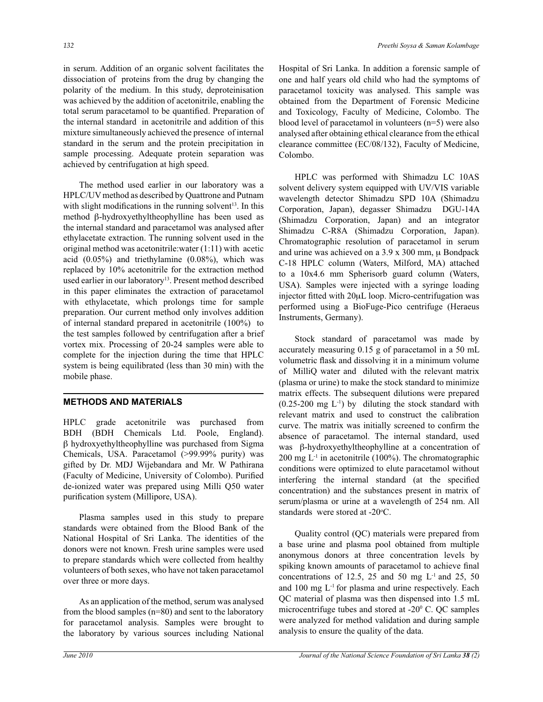in serum. Addition of an organic solvent facilitates the dissociation of proteins from the drug by changing the polarity of the medium. In this study, deproteinisation was achieved by the addition of acetonitrile, enabling the total serum paracetamol to be quantified. Preparation of the internal standard in acetonitrile and addition of this mixture simultaneously achieved the presence of internal standard in the serum and the protein precipitation in sample processing. Adequate protein separation was achieved by centrifugation at high speed.

 The method used earlier in our laboratory was a HPLC/UV method as described by Quattrone and Putnam with slight modifications in the running solvent<sup>13</sup>. In this method β-hydroxyethyltheophylline has been used as the internal standard and paracetamol was analysed after ethylacetate extraction. The running solvent used in the original method was acetonitrile:water (1:11) with acetic acid (0.05%) and triethylamine (0.08%), which was replaced by 10% acetonitrile for the extraction method used earlier in our laboratory<sup>13</sup>. Present method described in this paper eliminates the extraction of paracetamol with ethylacetate, which prolongs time for sample preparation. Our current method only involves addition of internal standard prepared in acetonitrile (100%) to the test samples followed by centrifugation after a brief vortex mix. Processing of 20-24 samples were able to complete for the injection during the time that HPLC system is being equilibrated (less than 30 min) with the mobile phase.

# **METHODS AND MATERIALS**

HPLC grade acetonitrile was purchased from BDH (BDH Chemicals Ltd. Poole, England). β hydroxyethyltheophylline was purchased from Sigma Chemicals, USA. Paracetamol (>99.99% purity) was gifted by Dr. MDJ Wijebandara and Mr. W Pathirana (Faculty of Medicine, University of Colombo). Purified de-ionized water was prepared using Milli Q50 water purification system (Millipore, USA).

 Plasma samples used in this study to prepare standards were obtained from the Blood Bank of the National Hospital of Sri Lanka. The identities of the donors were not known. Fresh urine samples were used to prepare standards which were collected from healthy volunteers of both sexes, who have not taken paracetamol over three or more days.

 As an application of the method, serum was analysed from the blood samples (n=80) and sent to the laboratory for paracetamol analysis. Samples were brought to the laboratory by various sources including National Hospital of Sri Lanka. In addition a forensic sample of one and half years old child who had the symptoms of paracetamol toxicity was analysed. This sample was obtained from the Department of Forensic Medicine and Toxicology, Faculty of Medicine, Colombo. The blood level of paracetamol in volunteers (n=5) were also analysed after obtaining ethical clearance from the ethical clearance committee (EC/08/132), Faculty of Medicine, Colombo.

 HPLC was performed with Shimadzu LC 10AS solvent delivery system equipped with UV/VIS variable wavelength detector Shimadzu SPD 10A (Shimadzu Corporation, Japan), degasser Shimadzu DGU-14A (Shimadzu Corporation, Japan) and an integrator Shimadzu C-R8A (Shimadzu Corporation, Japan). Chromatographic resolution of paracetamol in serum and urine was achieved on a 3.9 x 300 mm, μ Bondpack C-18 HPLC column (Waters, Milford, MA) attached to a 10x4.6 mm Spherisorb guard column (Waters, USA). Samples were injected with a syringe loading injector fitted with 20μL loop. Micro-centrifugation was performed using a BioFuge-Pico centrifuge (Heraeus Instruments, Germany).

 Stock standard of paracetamol was made by accurately measuring 0.15 g of paracetamol in a 50 mL volumetric flask and dissolving it in a minimum volume of MilliQ water and diluted with the relevant matrix (plasma or urine) to make the stock standard to minimize matrix effects. The subsequent dilutions were prepared  $(0.25-200 \text{ mg } L^{-1})$  by diluting the stock standard with relevant matrix and used to construct the calibration curve. The matrix was initially screened to confirm the absence of paracetamol. The internal standard, used was β-hydroxyethyltheophylline at a concentration of 200 mg  $L^{-1}$  in acetonitrile (100%). The chromatographic conditions were optimized to elute paracetamol without interfering the internal standard (at the specified concentration) and the substances present in matrix of serum/plasma or urine at a wavelength of 254 nm. All standards were stored at -20°C.

Quality control (QC) materials were prepared from a base urine and plasma pool obtained from multiple anonymous donors at three concentration levels by spiking known amounts of paracetamol to achieve final concentrations of 12.5, 25 and 50 mg  $L<sup>-1</sup>$  and 25, 50 and 100 mg L-1 for plasma and urine respectively. Each QC material of plasma was then dispensed into 1.5 mL microcentrifuge tubes and stored at  $-20^{\circ}$  C. QC samples were analyzed for method validation and during sample analysis to ensure the quality of the data.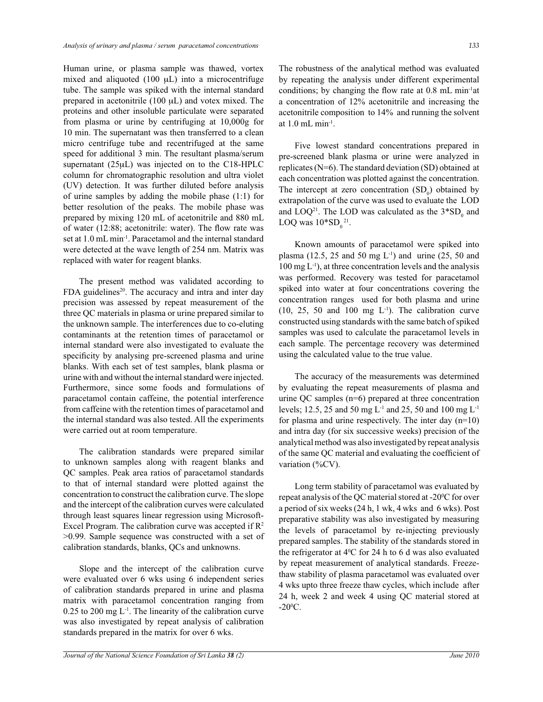Human urine, or plasma sample was thawed, vortex mixed and aliquoted (100 μL) into a microcentrifuge tube. The sample was spiked with the internal standard prepared in acetonitrile (100 μL) and votex mixed. The proteins and other insoluble particulate were separated from plasma or urine by centrifuging at 10,000g for 10 min. The supernatant was then transferred to a clean micro centrifuge tube and recentrifuged at the same speed for additional 3 min. The resultant plasma/serum supernatant (25μL) was injected on to the C18-HPLC column for chromatographic resolution and ultra violet (UV) detection. It was further diluted before analysis of urine samples by adding the mobile phase (1:1) for better resolution of the peaks. The mobile phase was prepared by mixing 120 mL of acetonitrile and 880 mL of water (12:88; acetonitrile: water). The flow rate was set at 1.0 mL min-1. Paracetamol and the internal standard were detected at the wave length of 254 nm. Matrix was replaced with water for reagent blanks.

The present method was validated according to FDA guidelines<sup>20</sup>. The accuracy and intra and inter day precision was assessed by repeat measurement of the three QC materials in plasma or urine prepared similar to the unknown sample. The interferences due to co-eluting contaminants at the retention times of paracetamol or internal standard were also investigated to evaluate the specificity by analysing pre-screened plasma and urine blanks. With each set of test samples, blank plasma or urine with and without the internal standard were injected. Furthermore, since some foods and formulations of paracetamol contain caffeine, the potential interference from caffeine with the retention times of paracetamol and the internal standard was also tested. All the experiments were carried out at room temperature.

The calibration standards were prepared similar to unknown samples along with reagent blanks and QC samples. Peak area ratios of paracetamol standards to that of internal standard were plotted against the concentration to construct the calibration curve. The slope and the intercept of the calibration curves were calculated through least squares linear regression using Microsoft-Excel Program. The calibration curve was accepted if  $\mathbb{R}^2$ >0.99. Sample sequence was constructed with a set of calibration standards, blanks, QCs and unknowns.

 Slope and the intercept of the calibration curve were evaluated over 6 wks using 6 independent series of calibration standards prepared in urine and plasma matrix with paracetamol concentration ranging from  $0.25$  to 200 mg L<sup>-1</sup>. The linearity of the calibration curve was also investigated by repeat analysis of calibration standards prepared in the matrix for over 6 wks.

The robustness of the analytical method was evaluated by repeating the analysis under different experimental conditions; by changing the flow rate at 0.8 mL min-1at a concentration of 12% acetonitrile and increasing the acetonitrile composition to 14% and running the solvent at  $1.0$  mL min<sup>-1</sup>.

Five lowest standard concentrations prepared in pre-screened blank plasma or urine were analyzed in replicates (N=6). The standard deviation (SD) obtained at each concentration was plotted against the concentration. The intercept at zero concentration  $(SD_0)$  obtained by extrapolation of the curve was used to evaluate the LOD and  $LOQ^{21}$ . The LOD was calculated as the  $3*SD_0$  and LOQ was  $10*SD_0^2$ <sup>21</sup>.

Known amounts of paracetamol were spiked into plasma (12.5, 25 and 50 mg  $L^{-1}$ ) and urine (25, 50 and 100 mg L-1), at three concentration levels and the analysis was performed. Recovery was tested for paracetamol spiked into water at four concentrations covering the concentration ranges used for both plasma and urine  $(10, 25, 50, and 100, mg L<sup>-1</sup>)$ . The calibration curve constructed using standards with the same batch of spiked samples was used to calculate the paracetamol levels in each sample. The percentage recovery was determined using the calculated value to the true value.

The accuracy of the measurements was determined by evaluating the repeat measurements of plasma and urine QC samples (n=6) prepared at three concentration levels; 12.5, 25 and 50 mg L-1 and 25, 50 and 100 mg L-1 for plasma and urine respectively. The inter day  $(n=10)$ and intra day (for six successive weeks) precision of the analytical method was also investigated by repeat analysis of the same QC material and evaluating the coefficient of variation (%CV).

Long term stability of paracetamol was evaluated by repeat analysis of the QC material stored at -20 $\rm ^{o}C$  for over a period of six weeks (24 h, 1 wk, 4 wks and 6 wks). Post preparative stability was also investigated by measuring the levels of paracetamol by re-injecting previously prepared samples. The stability of the standards stored in the refrigerator at  $4^{\circ}$ C for 24 h to 6 d was also evaluated by repeat measurement of analytical standards. Freezethaw stability of plasma paracetamol was evaluated over 4 wks upto three freeze thaw cycles, which include after 24 h, week 2 and week 4 using QC material stored at  $-20^{\circ}$ C.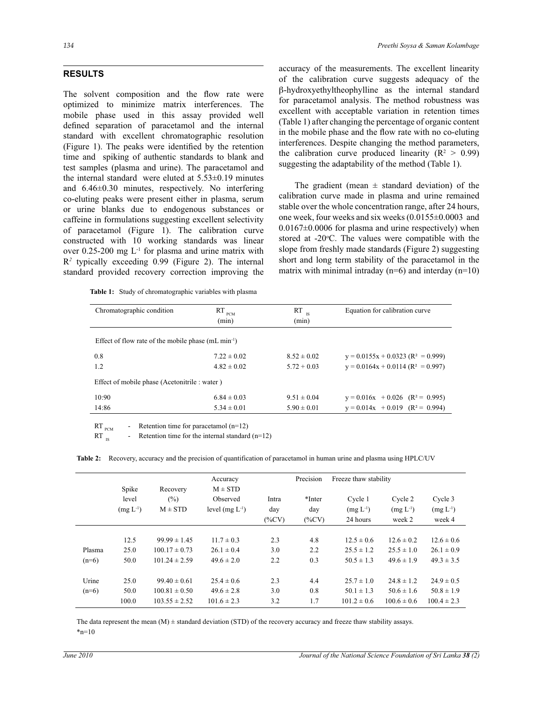# **RESULTS**

The solvent composition and the flow rate were optimized to minimize matrix interferences. The mobile phase used in this assay provided well defined separation of paracetamol and the internal standard with excellent chromatographic resolution (Figure 1). The peaks were identified by the retention time and spiking of authentic standards to blank and test samples (plasma and urine). The paracetamol and the internal standard were eluted at 5.53±0.19 minutes and 6.46±0.30 minutes, respectively. No interfering co-eluting peaks were present either in plasma, serum or urine blanks due to endogenous substances or caffeine in formulations suggesting excellent selectivity of paracetamol (Figure 1). The calibration curve constructed with 10 working standards was linear over  $0.25$ -200 mg  $L<sup>-1</sup>$  for plasma and urine matrix with R*2* typically exceeding 0.99 (Figure 2). The internal standard provided recovery correction improving the

|  |  |  |  |  | <b>Table 1:</b> Study of chromatographic variables with plasma |
|--|--|--|--|--|----------------------------------------------------------------|
|--|--|--|--|--|----------------------------------------------------------------|

accuracy of the measurements. The excellent linearity of the calibration curve suggests adequacy of the β-hydroxyethyltheophylline as the internal standard for paracetamol analysis. The method robustness was excellent with acceptable variation in retention times (Table 1) after changing the percentage of organic content in the mobile phase and the flow rate with no co-eluting interferences. Despite changing the method parameters, the calibration curve produced linearity ( $\mathbb{R}^2 > 0.99$ ) suggesting the adaptability of the method (Table 1).

The gradient (mean  $\pm$  standard deviation) of the calibration curve made in plasma and urine remained stable over the whole concentration range, after 24 hours, one week, four weeks and six weeks (0.0155±0.0003 and 0.0167±0.0006 for plasma and urine respectively) when stored at  $-20^{\circ}$ C. The values were compatible with the slope from freshly made standards (Figure 2) suggesting short and long term stability of the paracetamol in the matrix with minimal intraday ( $n=6$ ) and interday ( $n=10$ )

| Chromatographic condition                                       | $RT_{PCM}$      | $RT$ <sub>IS</sub> | Equation for calibration curve                  |  |  |
|-----------------------------------------------------------------|-----------------|--------------------|-------------------------------------------------|--|--|
|                                                                 | (min)           | (min)              |                                                 |  |  |
| Effect of flow rate of the mobile phase $(mL \text{ min}^{-1})$ |                 |                    |                                                 |  |  |
| 0.8                                                             | $7.22 \pm 0.02$ | $8.52 \pm 0.02$    | $y = 0.0155x + 0.0323$ (R <sup>2</sup> = 0.999) |  |  |
| 1.2                                                             | $4.82 \pm 0.02$ | $5.72 + 0.03$      | $y = 0.0164x + 0.0114 (R^2 = 0.997)$            |  |  |
| Effect of mobile phase (Acetonitrile : water)                   |                 |                    |                                                 |  |  |
| 10:90                                                           | $6.84 \pm 0.03$ | $9.51 \pm 0.04$    | $y = 0.016x + 0.026$ (R <sup>2</sup> = 0.995)   |  |  |
| 14:86                                                           | $5.34 \pm 0.01$ | $5.90 \pm 0.01$    | $y = 0.014x + 0.019$ $(R^2 = 0.994)$            |  |  |

RT  $_{\text{RCT}}$  - Retention time for paracetamol (n=12)

RT  $_{IS}$  - Retention time for the internal standard (n=12)

**Table 2:** Recovery, accuracy and the precision of quantification of paracetamol in human urine and plasma using HPLC/UV

|         | Spike         | Recovery          | Accuracy<br>$M \pm STD$ |          | Precision | Freeze thaw stability |                 |                 |
|---------|---------------|-------------------|-------------------------|----------|-----------|-----------------------|-----------------|-----------------|
|         | level         | (%)               | Observed                | Intra    | *Inter    | Cycle 1               | Cycle 2         | Cycle 3         |
|         | $(mg L^{-1})$ | $M \pm STD$       | level $(mg L^{-1})$     | day      | day       | $(mg L^{-1})$         | $(mg L^{-1})$   | $(mg L^{-1})$   |
|         |               |                   |                         | $(\%CV)$ | $(\%CV)$  | 24 hours              | week 2          | week 4          |
|         | 12.5          | $99.99 \pm 1.45$  | $11.7 \pm 0.3$          | 2.3      | 4.8       | $12.5 \pm 0.6$        | $12.6 \pm 0.2$  | $12.6 \pm 0.6$  |
| Plasma  | 25.0          | $100.17 \pm 0.73$ | $26.1 \pm 0.4$          | 3.0      | 2.2       | $25.5 \pm 1.2$        | $25.5 \pm 1.0$  | $26.1 \pm 0.9$  |
| $(n=6)$ | 50.0          | $101.24 \pm 2.59$ | $49.6 \pm 2.0$          | 2.2      | 0.3       | $50.5 \pm 1.3$        | $49.6 \pm 1.9$  | $49.3 \pm 3.5$  |
| Urine   | 25.0          | $99.40 \pm 0.61$  | $25.4 \pm 0.6$          | 2.3      | 4.4       | $25.7 \pm 1.0$        | $24.8 \pm 1.2$  | $24.9 \pm 0.5$  |
| $(n=6)$ | 50.0          | $100.81 \pm 0.50$ | $49.6 \pm 2.8$          | 3.0      | 0.8       | $50.1 \pm 1.3$        | $50.6 \pm 1.6$  | $50.8 \pm 1.9$  |
|         | 100.0         | $103.55 \pm 2.52$ | $101.6 \pm 2.3$         | 3.2      | 1.7       | $101.2 \pm 0.6$       | $100.6 \pm 0.6$ | $100.4 \pm 2.3$ |

The data represent the mean  $(M)$   $\pm$  standard deviation (STD) of the recovery accuracy and freeze thaw stability assays.  $*_{n=10}$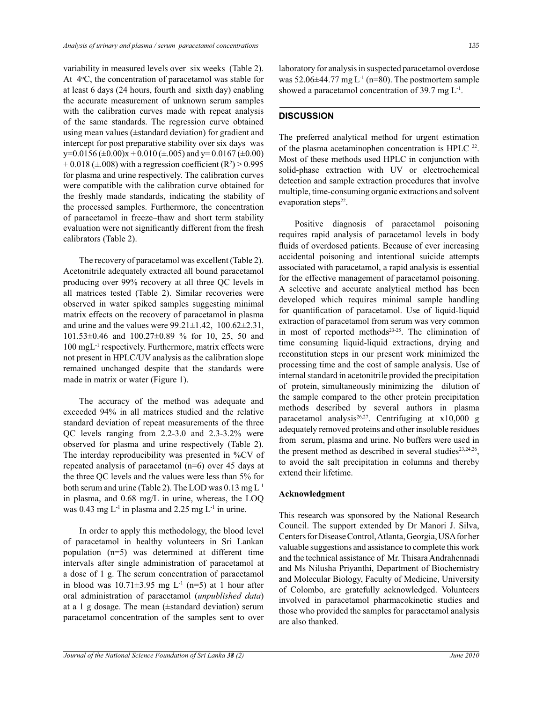variability in measured levels over six weeks (Table 2). At 4<sup>o</sup>C, the concentration of paracetamol was stable for at least 6 days (24 hours, fourth and sixth day) enabling the accurate measurement of unknown serum samples with the calibration curves made with repeat analysis of the same standards. The regression curve obtained using mean values (±standard deviation) for gradient and intercept for post preparative stability over six days was  $y=0.0156 \ (\pm 0.00)x + 0.010 \ (\pm .005)$  and  $y=0.0167 \ (\pm 0.00)$  $+0.018$  ( $\pm .008$ ) with a regression coefficient (R<sup>2</sup>) > 0.995 for plasma and urine respectively. The calibration curves were compatible with the calibration curve obtained for the freshly made standards, indicating the stability of the processed samples. Furthermore, the concentration of paracetamol in freeze–thaw and short term stability evaluation were not significantly different from the fresh calibrators (Table 2).

 The recovery of paracetamol was excellent (Table 2). Acetonitrile adequately extracted all bound paracetamol producing over 99% recovery at all three QC levels in all matrices tested (Table 2). Similar recoveries were observed in water spiked samples suggesting minimal matrix effects on the recovery of paracetamol in plasma and urine and the values were  $99.21 \pm 1.42$ ,  $100.62 \pm 2.31$ , 101.53±0.46 and 100.27±0.89 % for 10, 25, 50 and 100 mgL-1 respectively. Furthermore, matrix effects were not present in HPLC/UV analysis as the calibration slope remained unchanged despite that the standards were made in matrix or water (Figure 1).

 The accuracy of the method was adequate and exceeded 94% in all matrices studied and the relative standard deviation of repeat measurements of the three QC levels ranging from 2.2-3.0 and 2.3-3.2% were observed for plasma and urine respectively (Table 2). The interday reproducibility was presented in %CV of repeated analysis of paracetamol (n=6) over 45 days at the three QC levels and the values were less than 5% for both serum and urine (Table 2). The LOD was 0.13 mg L-1 in plasma, and 0.68 mg/L in urine, whereas, the LOQ was 0.43 mg  $L^{-1}$  in plasma and 2.25 mg  $L^{-1}$  in urine.

 In order to apply this methodology, the blood level of paracetamol in healthy volunteers in Sri Lankan population (n=5) was determined at different time intervals after single administration of paracetamol at a dose of 1 g. The serum concentration of paracetamol in blood was  $10.71\pm3.95$  mg L<sup>-1</sup> (n=5) at 1 hour after oral administration of paracetamol (*unpublished data*) at a 1 g dosage. The mean (±standard deviation) serum paracetamol concentration of the samples sent to over laboratory for analysis in suspected paracetamol overdose was  $52.06\pm44.77$  mg L<sup>-1</sup> (n=80). The postmortem sample showed a paracetamol concentration of 39.7 mg L<sup>-1</sup>.

# **DISCUSSION**

The preferred analytical method for urgent estimation of the plasma acetaminophen concentration is HPLC <sup>22</sup>. Most of these methods used HPLC in conjunction with solid-phase extraction with UV or electrochemical detection and sample extraction procedures that involve multiple, time-consuming organic extractions and solvent evaporation steps<sup>22</sup>.

 Positive diagnosis of paracetamol poisoning requires rapid analysis of paracetamol levels in body fluids of overdosed patients. Because of ever increasing accidental poisoning and intentional suicide attempts associated with paracetamol, a rapid analysis is essential for the effective management of paracetamol poisoning. A selective and accurate analytical method has been developed which requires minimal sample handling for quantification of paracetamol. Use of liquid-liquid extraction of paracetamol from serum was very common in most of reported methods<sup>23-25</sup>. The elimination of time consuming liquid-liquid extractions, drying and reconstitution steps in our present work minimized the processing time and the cost of sample analysis. Use of internal standard in acetonitrile provided the precipitation of protein, simultaneously minimizing the dilution of the sample compared to the other protein precipitation methods described by several authors in plasma paracetamol analysis<sup>26,27</sup>. Centrifuging at  $x10,000$  g adequately removed proteins and other insoluble residues from serum, plasma and urine. No buffers were used in the present method as described in several studies<sup>23,24,26</sup>, to avoid the salt precipitation in columns and thereby extend their lifetime.

### **Acknowledgment**

This research was sponsored by the National Research Council. The support extended by Dr Manori J. Silva, Centers for Disease Control, Atlanta, Georgia, USA for her valuable suggestions and assistance to complete this work and the technical assistance of Mr. Thisara Andrahennadi and Ms Nilusha Priyanthi, Department of Biochemistry and Molecular Biology, Faculty of Medicine, University of Colombo, are gratefully acknowledged. Volunteers involved in paracetamol pharmacokinetic studies and those who provided the samples for paracetamol analysis are also thanked.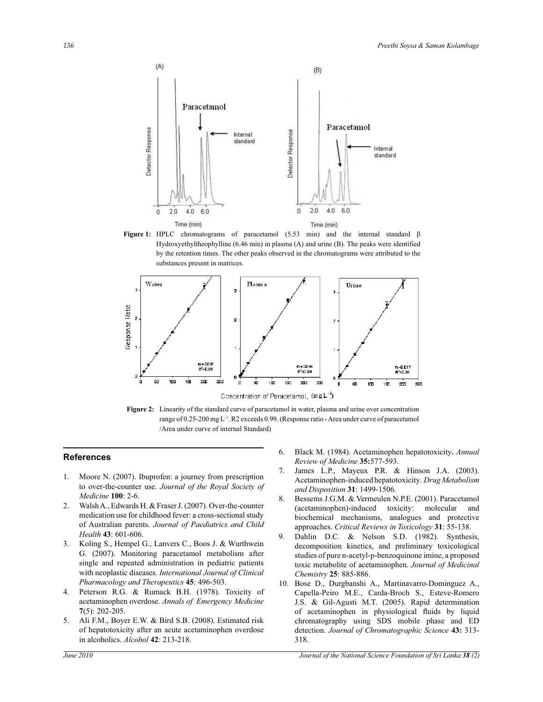

**Figure 1:** HPLC chromatograms of paracetamol (5.53 min) and the internal standard β Hydroxyethyltheophylline (6.46 min) in plasma (A) and urine (B). The peaks were identified by the retention times. The other peaks observed in the chromatograms were attributed to the substances present in matrices.



**Figure 2:** Linearity of the standard curve of paracetamol in water, plasma and urine over concentration range of 0.25-200 mg L<sup>-1</sup>. R2 exceeds 0.99. (Response ratio - Area under curve of paracetamol /Area under curve of internal Standard)

#### **References**

- 1. Moore N. (2007). Ibuprofen: a journey from prescription to over-the-counter use. *Journal of the Royal Society of Medicine* **100**: 2-6.
- 2. Walsh A., Edwards H. & Fraser J. (2007). Over-the-counter medication use for childhood fever: a cross-sectional study of Australian parents. *Journal of Paediatrics and Child Health* **43**: 601-606.
- 3. Koling S., Hempel G., Lanvers C., Boos J. & Wurthwein G. (2007). Monitoring paracetamol metabolism after single and repeated administration in pediatric patients with neoplastic diseases. *International Journal of Clinical Pharmacology and Therapeutics* **45**: 496-503.
- 4. Peterson R.G. & Rumack B.H. (1978). Toxicity of acetaminophen overdose. *Annals of Emergency Medicine*  **7**(5): 202-205.
- 5. Ali F.M., Boyer E.W. & Bird S.B. (2008). Estimated risk of hepatotoxicity after an acute acetaminophen overdose in alcoholics. *Alcohol* **42**: 213-218.
- 6. Black M. (1984). Acetaminophen hepatotoxicity**.** *Annual Review of Medicine* **35:**577-593.
- 7. James L.P., Mayeux P.R. & Hinson J.A. (2003). Acetaminophen-induced hepatotoxicity. *Drug Metabolism and Disposition* **31**: 1499-1506.
- 8. Bessems J.G.M. & Vermeulen N.P.E. (2001). Paracetamol (acetaminophen)-induced toxicity: molecular and biochemical mechanisms, analogues and protective approaches. *Critical Reviews in Toxicology* **31**: 55-138.
- 9. Dahlin D.C. & Nelson S.D. (1982). Synthesis, decomposition kinetics, and preliminary toxicological studies of pure n-acetyl-p-benzoquinone imine, a proposed toxic metabolite of acetaminophen. *Journal of Medicinal Chemistry* **25**: 885-886.
- 10. Bose D., Durgbanshi A., Martinavarro-Dominguez A., Capella-Peiro M.E., Carda-Broch S., Esteve-Romero J.S. & Gil-Agusti M.T. (2005). Rapid determination of acetaminophen in physiological fluids by liquid chromatography using SDS mobile phase and ED detection. *Journal of Chromatographic Science* **43:** 313- 318.